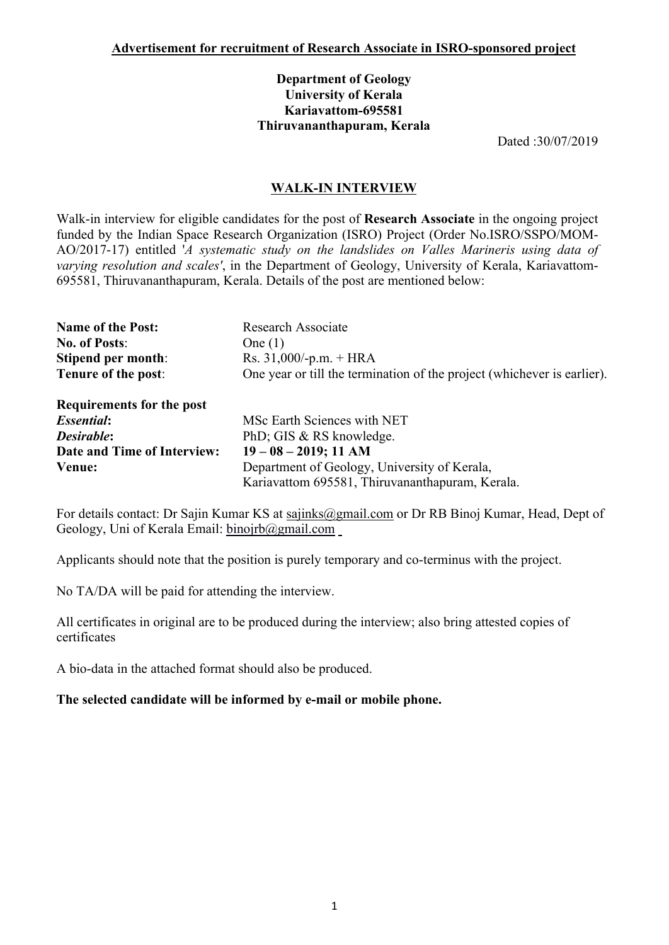## **Department of Geology University of Kerala Kariavattom-695581 Thiruvananthapuram, Kerala**

Dated :30/07/2019

## **WALK-IN INTERVIEW**

Walk-in interview for eligible candidates for the post of **Research Associate** in the ongoing project funded by the Indian Space Research Organization (ISRO) Project (Order No.ISRO/SSPO/MOM-AO/2017-17) entitled '*A systematic study on the landslides on Valles Marineris using data of varying resolution and scales'*, in the Department of Geology, University of Kerala, Kariavattom-695581, Thiruvananthapuram, Kerala. Details of the post are mentioned below:

| <b>Name of the Post:</b>    | <b>Research Associate</b>                                               |  |  |  |  |
|-----------------------------|-------------------------------------------------------------------------|--|--|--|--|
| <b>No. of Posts:</b>        | One $(1)$                                                               |  |  |  |  |
| Stipend per month:          | Rs. $31,000/-p.m. + HRA$                                                |  |  |  |  |
| Tenure of the post:         | One year or till the termination of the project (whichever is earlier). |  |  |  |  |
| Requirements for the post   |                                                                         |  |  |  |  |
| <i><b>Essential:</b></i>    | MSc Earth Sciences with NET                                             |  |  |  |  |
| Desirable:                  | PhD; GIS & RS knowledge.                                                |  |  |  |  |
| Date and Time of Interview: | $19 - 08 - 2019$ ; 11 AM                                                |  |  |  |  |
| Venue:                      | Department of Geology, University of Kerala,                            |  |  |  |  |
|                             | Kariavattom 695581, Thiruvananthapuram, Kerala.                         |  |  |  |  |

For details contact: Dr Sajin Kumar KS at sajinks@gmail.com or Dr RB Binoj Kumar, Head, Dept of Geology, Uni of Kerala Email: binojrb@gmail.com

Applicants should note that the position is purely temporary and co-terminus with the project.

No TA/DA will be paid for attending the interview.

All certificates in original are to be produced during the interview; also bring attested copies of certificates

A bio-data in the attached format should also be produced.

## **The selected candidate will be informed by e-mail or mobile phone.**